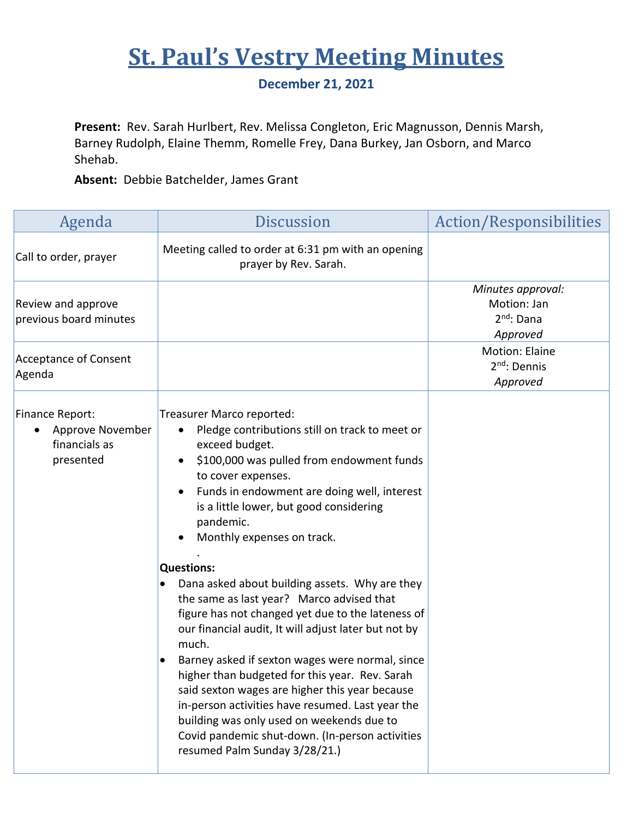## **St. Paul's Vestry Meeting Minutes**

## **December 21, 2021**

**Present:** Rev. Sarah Hurlbert, Rev. Melissa Congleton, Eric Magnusson, Dennis Marsh, Barney Rudolph, Elaine Themm, Romelle Frey, Dana Burkey, Jan Osborn, and Marco Shehab.

**Absent:** Debbie Batchelder, James Grant

| Agenda                                                            | <b>Discussion</b>                                                                                                                                                                                                                                                                                                                                                                                                                                                                                                                                                                                                                                                                                                                                                                                                                                                                           | Action/Responsibilities                                                |
|-------------------------------------------------------------------|---------------------------------------------------------------------------------------------------------------------------------------------------------------------------------------------------------------------------------------------------------------------------------------------------------------------------------------------------------------------------------------------------------------------------------------------------------------------------------------------------------------------------------------------------------------------------------------------------------------------------------------------------------------------------------------------------------------------------------------------------------------------------------------------------------------------------------------------------------------------------------------------|------------------------------------------------------------------------|
| Call to order, prayer                                             | Meeting called to order at 6:31 pm with an opening<br>prayer by Rev. Sarah.                                                                                                                                                                                                                                                                                                                                                                                                                                                                                                                                                                                                                                                                                                                                                                                                                 |                                                                        |
| Review and approve<br>previous board minutes                      |                                                                                                                                                                                                                                                                                                                                                                                                                                                                                                                                                                                                                                                                                                                                                                                                                                                                                             | Minutes approval:<br>Motion: Jan<br>2 <sup>nd</sup> : Dana<br>Approved |
| <b>Acceptance of Consent</b><br>Agenda                            |                                                                                                                                                                                                                                                                                                                                                                                                                                                                                                                                                                                                                                                                                                                                                                                                                                                                                             | Motion: Elaine<br>2 <sup>nd</sup> : Dennis<br>Approved                 |
| Finance Report:<br>Approve November<br>financials as<br>presented | Treasurer Marco reported:<br>Pledge contributions still on track to meet or<br>exceed budget.<br>\$100,000 was pulled from endowment funds<br>to cover expenses.<br>Funds in endowment are doing well, interest<br>is a little lower, but good considering<br>pandemic.<br>Monthly expenses on track.<br><b>Questions:</b><br>Dana asked about building assets. Why are they<br>the same as last year? Marco advised that<br>figure has not changed yet due to the lateness of<br>our financial audit, It will adjust later but not by<br>much.<br>Barney asked if sexton wages were normal, since<br>higher than budgeted for this year. Rev. Sarah<br>said sexton wages are higher this year because<br>in-person activities have resumed. Last year the<br>building was only used on weekends due to<br>Covid pandemic shut-down. (In-person activities<br>resumed Palm Sunday 3/28/21.) |                                                                        |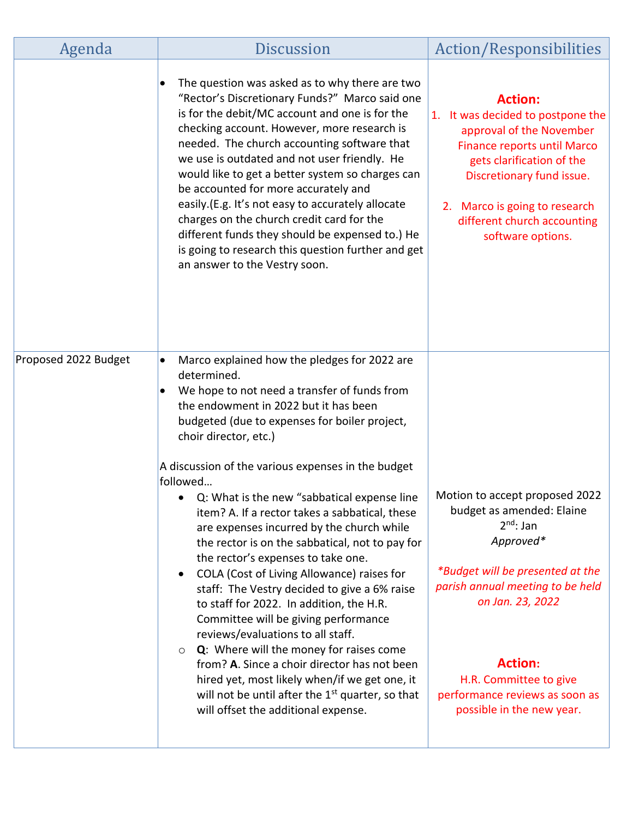| Agenda               | <b>Discussion</b>                                                                                                                                                                                                                                                                                                                                                                                                                                                                                                                                                                                                                        | <b>Action/Responsibilities</b>                                                                                                                                                                                                                                       |
|----------------------|------------------------------------------------------------------------------------------------------------------------------------------------------------------------------------------------------------------------------------------------------------------------------------------------------------------------------------------------------------------------------------------------------------------------------------------------------------------------------------------------------------------------------------------------------------------------------------------------------------------------------------------|----------------------------------------------------------------------------------------------------------------------------------------------------------------------------------------------------------------------------------------------------------------------|
|                      | The question was asked as to why there are two<br>"Rector's Discretionary Funds?" Marco said one<br>is for the debit/MC account and one is for the<br>checking account. However, more research is<br>needed. The church accounting software that<br>we use is outdated and not user friendly. He<br>would like to get a better system so charges can<br>be accounted for more accurately and<br>easily.(E.g. It's not easy to accurately allocate<br>charges on the church credit card for the<br>different funds they should be expensed to.) He<br>is going to research this question further and get<br>an answer to the Vestry soon. | <b>Action:</b><br>1. It was decided to postpone the<br>approval of the November<br><b>Finance reports until Marco</b><br>gets clarification of the<br>Discretionary fund issue.<br>2. Marco is going to research<br>different church accounting<br>software options. |
| Proposed 2022 Budget | Marco explained how the pledges for 2022 are<br>$\bullet$<br>determined.<br>We hope to not need a transfer of funds from                                                                                                                                                                                                                                                                                                                                                                                                                                                                                                                 |                                                                                                                                                                                                                                                                      |
|                      | the endowment in 2022 but it has been<br>budgeted (due to expenses for boiler project,<br>choir director, etc.)                                                                                                                                                                                                                                                                                                                                                                                                                                                                                                                          |                                                                                                                                                                                                                                                                      |
|                      | A discussion of the various expenses in the budget<br>followed                                                                                                                                                                                                                                                                                                                                                                                                                                                                                                                                                                           |                                                                                                                                                                                                                                                                      |
|                      | Q: What is the new "sabbatical expense line<br>item? A. If a rector takes a sabbatical, these<br>are expenses incurred by the church while<br>the rector is on the sabbatical, not to pay for<br>the rector's expenses to take one.<br>COLA (Cost of Living Allowance) raises for                                                                                                                                                                                                                                                                                                                                                        | Motion to accept proposed 2022<br>budget as amended: Elaine<br>$2^{nd}$ : Jan<br>Approved*<br>*Budget will be presented at the                                                                                                                                       |
|                      | staff: The Vestry decided to give a 6% raise<br>to staff for 2022. In addition, the H.R.<br>Committee will be giving performance<br>reviews/evaluations to all staff.<br><b>Q:</b> Where will the money for raises come<br>$\circ$                                                                                                                                                                                                                                                                                                                                                                                                       | parish annual meeting to be held<br>on Jan. 23, 2022                                                                                                                                                                                                                 |
|                      | from? A. Since a choir director has not been<br>hired yet, most likely when/if we get one, it<br>will not be until after the 1 <sup>st</sup> quarter, so that<br>will offset the additional expense.                                                                                                                                                                                                                                                                                                                                                                                                                                     | <b>Action:</b><br>H.R. Committee to give<br>performance reviews as soon as<br>possible in the new year.                                                                                                                                                              |